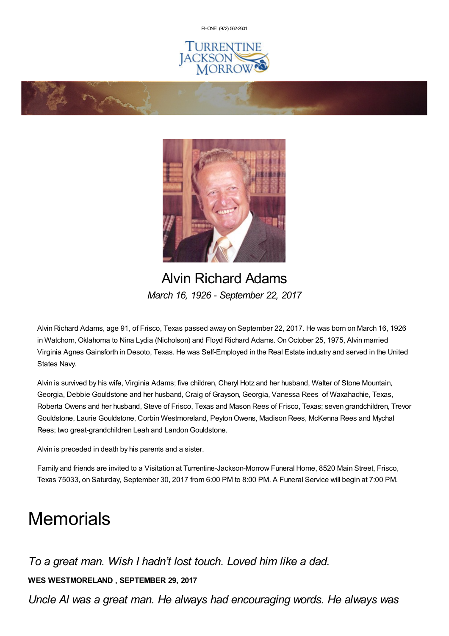PHONE: (972) [562-2601](tel:(972) 562-2601)





Alvin Richard Adams *March 16, 1926 - September 22, 2017*

Alvin Richard Adams, age 91, of Frisco, Texas passed away on September 22, 2017. He was born on March 16, 1926 in Watchorn, Oklahoma to Nina Lydia (Nicholson) and Floyd Richard Adams. On October 25, 1975, Alvin married Virginia Agnes Gainsforth in Desoto, Texas. He was Self-Employed in the Real Estate industry and served in the United States Navy.

Alvin is survived by his wife, Virginia Adams; five children, Cheryl Hotz and her husband, Walter of Stone Mountain, Georgia, Debbie Gouldstone and her husband, Craig of Grayson, Georgia, Vanessa Rees of Waxahachie, Texas, Roberta Owens and her husband, Steve of Frisco, Texas and Mason Rees of Frisco, Texas; seven grandchildren, Trevor Gouldstone, Laurie Gouldstone, Corbin Westmoreland, PeytonOwens, Madison Rees, McKenna Rees and Mychal Rees; two great-grandchildren Leah and Landon Gouldstone.

Alvin is preceded in death by his parents and a sister.

Family and friends are invited to a Visitation at Turrentine-Jackson-Morrow Funeral Home, 8520 Main Street, Frisco, Texas 75033, on Saturday, September 30, 2017 from 6:00 PM to 8:00 PM. A Funeral Service will begin at 7:00 PM.

## **Memorials**

*To a great man. Wish I hadn't lost touch. Loved him like a dad.*

**WES WESTMORELAND , SEPTEMBER 29, 2017**

*Uncle Al was a great man. He always had encouraging words. He always was*